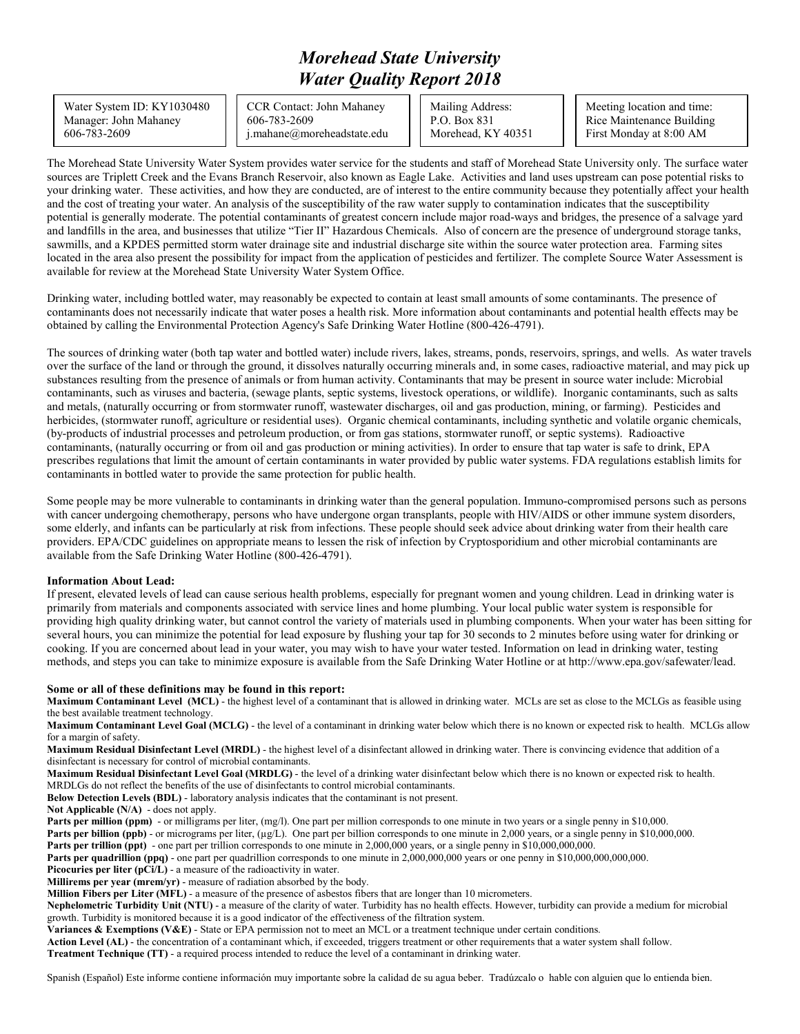## *Morehead State University Water Quality Report 2018*

Water System ID: KY1030480 Manager: John Mahaney 606-783-2609

CCR Contact: John Mahaney 606-783-2609 j.mahane@moreheadstate.edu Mailing Address: P.O. Box 831 Morehead, KY 40351

Meeting location and time: Rice Maintenance Building First Monday at 8:00 AM

The Morehead State University Water System provides water service for the students and staff of Morehead State University only. The surface water sources are Triplett Creek and the Evans Branch Reservoir, also known as Eagle Lake. Activities and land uses upstream can pose potential risks to your drinking water. These activities, and how they are conducted, are of interest to the entire community because they potentially affect your health and the cost of treating your water. An analysis of the susceptibility of the raw water supply to contamination indicates that the susceptibility potential is generally moderate. The potential contaminants of greatest concern include major road-ways and bridges, the presence of a salvage yard and landfills in the area, and businesses that utilize "Tier II" Hazardous Chemicals. Also of concern are the presence of underground storage tanks, sawmills, and a KPDES permitted storm water drainage site and industrial discharge site within the source water protection area. Farming sites located in the area also present the possibility for impact from the application of pesticides and fertilizer. The complete Source Water Assessment is available for review at the Morehead State University Water System Office.

Drinking water, including bottled water, may reasonably be expected to contain at least small amounts of some contaminants. The presence of contaminants does not necessarily indicate that water poses a health risk. More information about contaminants and potential health effects may be obtained by calling the Environmental Protection Agency's Safe Drinking Water Hotline (800-426-4791).

The sources of drinking water (both tap water and bottled water) include rivers, lakes, streams, ponds, reservoirs, springs, and wells. As water travels over the surface of the land or through the ground, it dissolves naturally occurring minerals and, in some cases, radioactive material, and may pick up substances resulting from the presence of animals or from human activity. Contaminants that may be present in source water include: Microbial contaminants, such as viruses and bacteria, (sewage plants, septic systems, livestock operations, or wildlife). Inorganic contaminants, such as salts and metals, (naturally occurring or from stormwater runoff, wastewater discharges, oil and gas production, mining, or farming). Pesticides and herbicides, (stormwater runoff, agriculture or residential uses). Organic chemical contaminants, including synthetic and volatile organic chemicals, (by-products of industrial processes and petroleum production, or from gas stations, stormwater runoff, or septic systems). Radioactive contaminants, (naturally occurring or from oil and gas production or mining activities). In order to ensure that tap water is safe to drink, EPA prescribes regulations that limit the amount of certain contaminants in water provided by public water systems. FDA regulations establish limits for contaminants in bottled water to provide the same protection for public health.

Some people may be more vulnerable to contaminants in drinking water than the general population. Immuno-compromised persons such as persons with cancer undergoing chemotherapy, persons who have undergone organ transplants, people with HIV/AIDS or other immune system disorders, some elderly, and infants can be particularly at risk from infections. These people should seek advice about drinking water from their health care providers. EPA/CDC guidelines on appropriate means to lessen the risk of infection by Cryptosporidium and other microbial contaminants are available from the Safe Drinking Water Hotline (800-426-4791).

## **Information About Lead:**

If present, elevated levels of lead can cause serious health problems, especially for pregnant women and young children. Lead in drinking water is primarily from materials and components associated with service lines and home plumbing. Your local public water system is responsible for providing high quality drinking water, but cannot control the variety of materials used in plumbing components. When your water has been sitting for several hours, you can minimize the potential for lead exposure by flushing your tap for 30 seconds to 2 minutes before using water for drinking or cooking. If you are concerned about lead in your water, you may wish to have your water tested. Information on lead in drinking water, testing methods, and steps you can take to minimize exposure is available from the Safe Drinking Water Hotline or at http://www.epa.gov/safewater/lead.

## **Some or all of these definitions may be found in this report:**

**Maximum Contaminant Level (MCL)** - the highest level of a contaminant that is allowed in drinking water. MCLs are set as close to the MCLGs as feasible using the best available treatment technology.

**Maximum Contaminant Level Goal (MCLG)** - the level of a contaminant in drinking water below which there is no known or expected risk to health. MCLGs allow for a margin of safety.

**Maximum Residual Disinfectant Level (MRDL)** - the highest level of a disinfectant allowed in drinking water. There is convincing evidence that addition of a disinfectant is necessary for control of microbial contaminants.

**Maximum Residual Disinfectant Level Goal (MRDLG)** - the level of a drinking water disinfectant below which there is no known or expected risk to health. MRDLGs do not reflect the benefits of the use of disinfectants to control microbial contaminants.

**Below Detection Levels (BDL)** - laboratory analysis indicates that the contaminant is not present.

**Not Applicable (N/A)** - does not apply.

Parts per million (ppm) - or milligrams per liter, (mg/l). One part per million corresponds to one minute in two years or a single penny in \$10,000.

**Parts per billion (ppb)** - or micrograms per liter, (µg/L). One part per billion corresponds to one minute in 2,000 years, or a single penny in \$10,000,000.

**Parts per trillion (ppt)** - one part per trillion corresponds to one minute in 2,000,000 years, or a single penny in \$10,000,000,000.

**Parts per quadrillion (ppq)** - one part per quadrillion corresponds to one minute in 2,000,000,000 years or one penny in \$10,000,000,000,000.

Picocuries per liter (pCi/L) - a measure of the radioactivity in water.

**Millirems per year (mrem/yr)** - measure of radiation absorbed by the body.

**Million Fibers per Liter (MFL)** - a measure of the presence of asbestos fibers that are longer than 10 micrometers.

**Nephelometric Turbidity Unit (NTU)** - a measure of the clarity of water. Turbidity has no health effects. However, turbidity can provide a medium for microbial growth. Turbidity is monitored because it is a good indicator of the effectiveness of the filtration system.

**Variances & Exemptions (V&E)** - State or EPA permission not to meet an MCL or a treatment technique under certain conditions.

**Action Level (AL)** - the concentration of a contaminant which, if exceeded, triggers treatment or other requirements that a water system shall follow.

**Treatment Technique (TT)** - a required process intended to reduce the level of a contaminant in drinking water.

Spanish (Español) Este informe contiene información muy importante sobre la calidad de su agua beber. Tradúzcalo o hable con alguien que lo entienda bien.